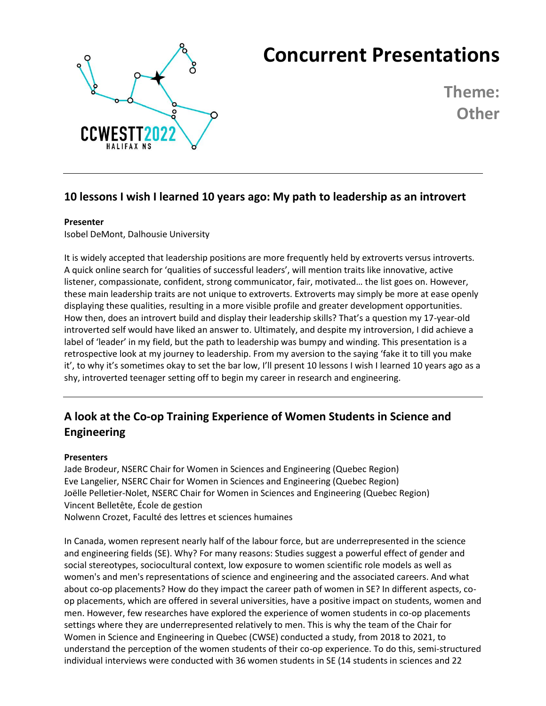

# **Concurrent Presentations**

**Theme: Other**

## **10 lessons I wish I learned 10 years ago: My path to leadership as an introvert**

#### **Presenter**

Isobel DeMont, Dalhousie University

It is widely accepted that leadership positions are more frequently held by extroverts versus introverts. A quick online search for 'qualities of successful leaders', will mention traits like innovative, active listener, compassionate, confident, strong communicator, fair, motivated… the list goes on. However, these main leadership traits are not unique to extroverts. Extroverts may simply be more at ease openly displaying these qualities, resulting in a more visible profile and greater development opportunities. How then, does an introvert build and display their leadership skills? That's a question my 17-year-old introverted self would have liked an answer to. Ultimately, and despite my introversion, I did achieve a label of 'leader' in my field, but the path to leadership was bumpy and winding. This presentation is a retrospective look at my journey to leadership. From my aversion to the saying 'fake it to till you make it', to why it's sometimes okay to set the bar low, I'll present 10 lessons I wish I learned 10 years ago as a shy, introverted teenager setting off to begin my career in research and engineering.

## **A look at the Co-op Training Experience of Women Students in Science and Engineering**

### **Presenters**

Jade Brodeur, NSERC Chair for Women in Sciences and Engineering (Quebec Region) Eve Langelier, NSERC Chair for Women in Sciences and Engineering (Quebec Region) Joëlle Pelletier-Nolet, NSERC Chair for Women in Sciences and Engineering (Quebec Region) Vincent Belletête, École de gestion Nolwenn Crozet, Faculté des lettres et sciences humaines

In Canada, women represent nearly half of the labour force, but are underrepresented in the science and engineering fields (SE). Why? For many reasons: Studies suggest a powerful effect of gender and social stereotypes, sociocultural context, low exposure to women scientific role models as well as women's and men's representations of science and engineering and the associated careers. And what about co-op placements? How do they impact the career path of women in SE? In different aspects, coop placements, which are offered in several universities, have a positive impact on students, women and men. However, few researches have explored the experience of women students in co-op placements settings where they are underrepresented relatively to men. This is why the team of the Chair for Women in Science and Engineering in Quebec (CWSE) conducted a study, from 2018 to 2021, to understand the perception of the women students of their co-op experience. To do this, semi-structured individual interviews were conducted with 36 women students in SE (14 students in sciences and 22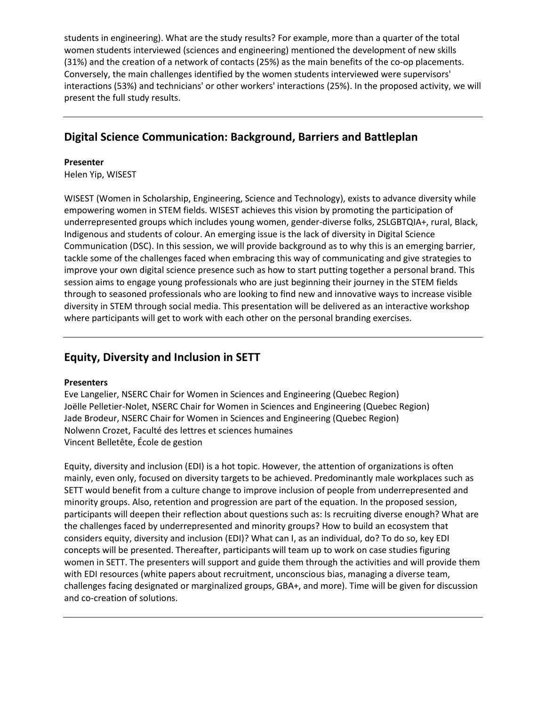students in engineering). What are the study results? For example, more than a quarter of the total women students interviewed (sciences and engineering) mentioned the development of new skills (31%) and the creation of a network of contacts (25%) as the main benefits of the co-op placements. Conversely, the main challenges identified by the women students interviewed were supervisors' interactions (53%) and technicians' or other workers' interactions (25%). In the proposed activity, we will present the full study results.

## **Digital Science Communication: Background, Barriers and Battleplan**

#### **Presenter**

Helen Yip, WISEST

WISEST (Women in Scholarship, Engineering, Science and Technology), exists to advance diversity while empowering women in STEM fields. WISEST achieves this vision by promoting the participation of underrepresented groups which includes young women, gender-diverse folks, 2SLGBTQIA+, rural, Black, Indigenous and students of colour. An emerging issue is the lack of diversity in Digital Science Communication (DSC). In this session, we will provide background as to why this is an emerging barrier, tackle some of the challenges faced when embracing this way of communicating and give strategies to improve your own digital science presence such as how to start putting together a personal brand. This session aims to engage young professionals who are just beginning their journey in the STEM fields through to seasoned professionals who are looking to find new and innovative ways to increase visible diversity in STEM through social media. This presentation will be delivered as an interactive workshop where participants will get to work with each other on the personal branding exercises.

## **Equity, Diversity and Inclusion in SETT**

### **Presenters**

Eve Langelier, NSERC Chair for Women in Sciences and Engineering (Quebec Region) Joëlle Pelletier-Nolet, NSERC Chair for Women in Sciences and Engineering (Quebec Region) Jade Brodeur, NSERC Chair for Women in Sciences and Engineering (Quebec Region) Nolwenn Crozet, Faculté des lettres et sciences humaines Vincent Belletête, École de gestion

Equity, diversity and inclusion (EDI) is a hot topic. However, the attention of organizations is often mainly, even only, focused on diversity targets to be achieved. Predominantly male workplaces such as SETT would benefit from a culture change to improve inclusion of people from underrepresented and minority groups. Also, retention and progression are part of the equation. In the proposed session, participants will deepen their reflection about questions such as: Is recruiting diverse enough? What are the challenges faced by underrepresented and minority groups? How to build an ecosystem that considers equity, diversity and inclusion (EDI)? What can I, as an individual, do? To do so, key EDI concepts will be presented. Thereafter, participants will team up to work on case studies figuring women in SETT. The presenters will support and guide them through the activities and will provide them with EDI resources (white papers about recruitment, unconscious bias, managing a diverse team, challenges facing designated or marginalized groups, GBA+, and more). Time will be given for discussion and co-creation of solutions.